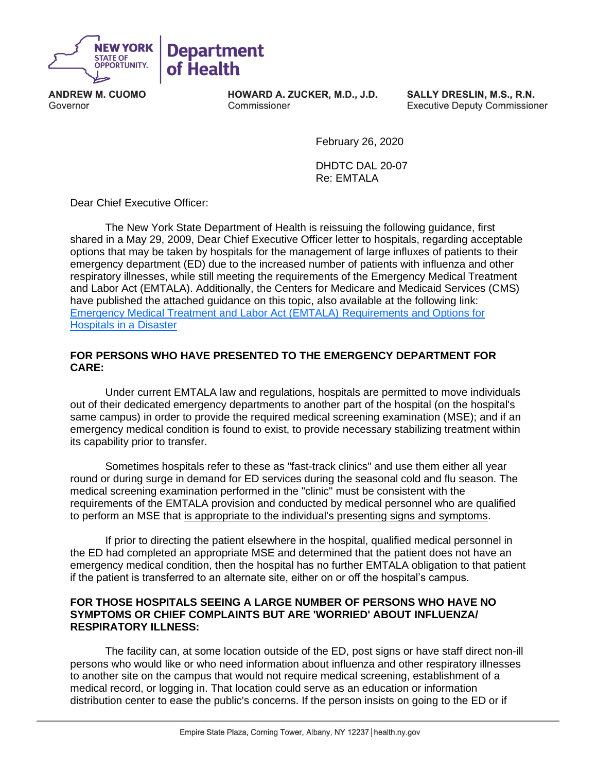

**ANDREW M. CUOMO** Governor

HOWARD A. ZUCKER, M.D., J.D. Commissioner

SALLY DRESLIN, M.S., R.N. **Executive Deputy Commissioner** 

February 26, 2020

DHDTC DAL 20-07 Re: EMTALA

Dear Chief Executive Officer:

The New York State Department of Health is reissuing the following guidance, first shared in a May 29, 2009, Dear Chief Executive Officer letter to hospitals, regarding acceptable options that may be taken by hospitals for the management of large influxes of patients to their emergency department (ED) due to the increased number of patients with influenza and other respiratory illnesses, while still meeting the requirements of the Emergency Medical Treatment and Labor Act (EMTALA). Additionally, the Centers for Medicare and Medicaid Services (CMS) have published the attached guidance on this topic, also available at the following link: [Emergency Medical Treatment and Labor Act \(EMTALA\) Requirements and Options for](https://www.cms.gov/Medicare/Provider-Enrollment-and-Certification/SurveyCertificationGenInfo/downloads/SCLetter09_52.pdf)  [Hospitals in a Disaster](https://www.cms.gov/Medicare/Provider-Enrollment-and-Certification/SurveyCertificationGenInfo/downloads/SCLetter09_52.pdf)

## **FOR PERSONS WHO HAVE PRESENTED TO THE EMERGENCY DEPARTMENT FOR CARE:**

Under current EMTALA law and regulations, hospitals are permitted to move individuals out of their dedicated emergency departments to another part of the hospital (on the hospital's same campus) in order to provide the required medical screening examination (MSE); and if an emergency medical condition is found to exist, to provide necessary stabilizing treatment within its capability prior to transfer.

Sometimes hospitals refer to these as "fast-track clinics" and use them either all year round or during surge in demand for ED services during the seasonal cold and flu season. The medical screening examination performed in the "clinic" must be consistent with the requirements of the EMTALA provision and conducted by medical personnel who are qualified to perform an MSE that is appropriate to the individual's presenting signs and symptoms.

If prior to directing the patient elsewhere in the hospital, qualified medical personnel in the ED had completed an appropriate MSE and determined that the patient does not have an emergency medical condition, then the hospital has no further EMTALA obligation to that patient if the patient is transferred to an alternate site, either on or off the hospital's campus.

#### **FOR THOSE HOSPITALS SEEING A LARGE NUMBER OF PERSONS WHO HAVE NO SYMPTOMS OR CHIEF COMPLAINTS BUT ARE 'WORRIED' ABOUT INFLUENZA/ RESPIRATORY ILLNESS:**

The facility can, at some location outside of the ED, post signs or have staff direct non-ill persons who would like or who need information about influenza and other respiratory illnesses to another site on the campus that would not require medical screening, establishment of a medical record, or logging in. That location could serve as an education or information distribution center to ease the public's concerns. If the person insists on going to the ED or if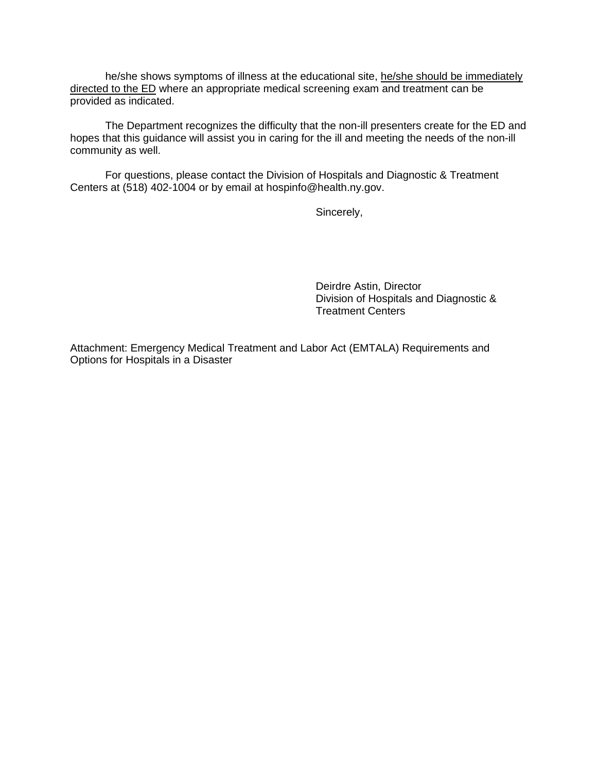he/she shows symptoms of illness at the educational site, he/she should be immediately directed to the ED where an appropriate medical screening exam and treatment can be provided as indicated.

The Department recognizes the difficulty that the non-ill presenters create for the ED and hopes that this guidance will assist you in caring for the ill and meeting the needs of the non-ill community as well.

For questions, please contact the Division of Hospitals and Diagnostic & Treatment Centers at (518) 402-1004 or by email at hospinfo@health.ny.gov.

Sincerely,

Deirdre Astin, Director Division of Hospitals and Diagnostic & Treatment Centers

Attachment: Emergency Medical Treatment and Labor Act (EMTALA) Requirements and Options for Hospitals in a Disaster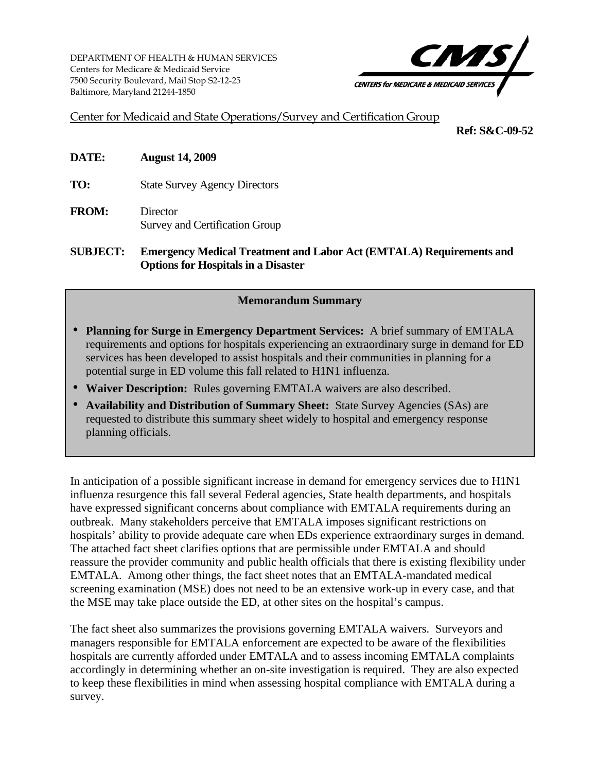DEPARTMENT OF HEALTH & HUMAN SERVICES Centers for Medicare & Medicaid Service 7500 Security Boulevard, Mail Stop S2-12-25 Baltimore, Maryland 21244-1850



Center for Medicaid and State Operations/Survey and Certification Group

**Ref: S&C-09-52** 

**DATE: August 14, 2009** 

**TO:** State Survey Agency Directors

**FROM:** Director Survey and Certification Group

**SUBJECT: Emergency Medical Treatment and Labor Act (EMTALA) Requirements and Options for Hospitals in a Disaster**

# **Memorandum Summary**

- **Planning for Surge in Emergency Department Services:** A brief summary of EMTALA requirements and options for hospitals experiencing an extraordinary surge in demand for ED services has been developed to assist hospitals and their communities in planning for a potential surge in ED volume this fall related to H1N1 influenza.
- **Waiver Description:** Rules governing EMTALA waivers are also described.
- **Availability and Distribution of Summary Sheet:** State Survey Agencies (SAs) are requested to distrib ute this summary sheet widely to hospital and emergency response planning officials.

In anticipation of a possible significant increase in demand for emergency services due to H1N1 influenza resurgence this fall several Federal agencies, State health departments, and hospitals have expressed significant concerns about compliance with EMTALA requirements during an outbreak. Many stakeholders perceive that EMTALA imposes significant restrictions on hospitals' ability to provide adequate care when EDs experience extraordinary surges in demand. The attached fact sheet clarifies options that are permissible under EMTALA and should reassure the provider community and public health officials that there is existing flexibility under EMTALA. Among other things, the fact sheet notes that an EMTALA-mandated medical screening examination (MSE) does not need to be an extensive work-up in every case, and that the MSE may take place outside the ED, at other sites on the hospital's campus.

The fact sheet also summarizes the provisions governing EMTALA waivers. Surveyors and managers responsible for EMTALA enforcement are expected to be aware of the flexibilities hospitals are currently afforded under EMTALA and to assess incoming EMTALA complaints accordingly in determining whether an on-site investigation is required. They are also expected to keep these flexibilities in mind when assessing hospital compliance with EMTALA during a survey.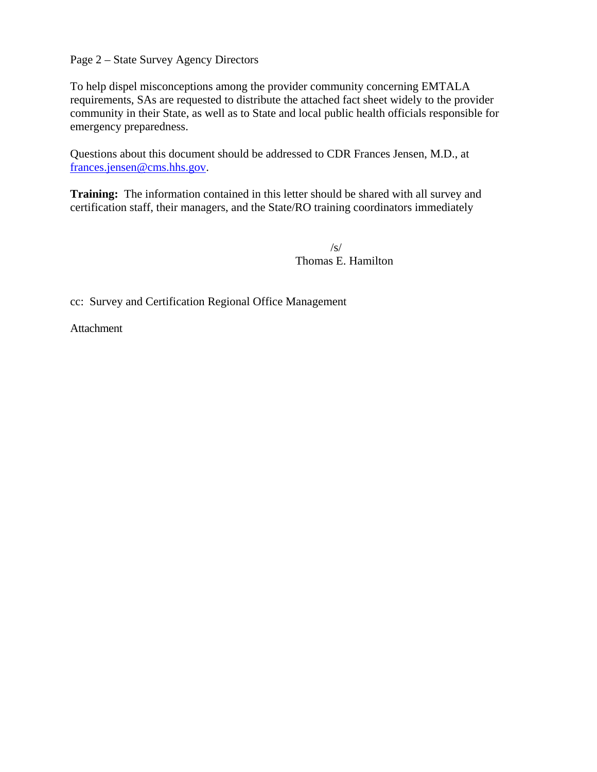## Page 2 – State Survey Agency Directors

To help dispel misconceptions among the provider community concerning EMTALA requirements, SAs are requested to distribute the attached fact sheet widely to the provider community in their State, as well as to State and local public health officials responsible for emergency preparedness.

Questions about this document should be addressed to CDR Frances Jensen, M.D., at [frances.jensen@cms.hhs.gov](mailto:frances.jensen@cms.hhs.gov).

**Training:** The information contained in this letter should be shared with all survey and certification staff, their managers, and the State/RO training coordinators immediately

 $\sqrt{s/2}$ Thomas E. Hamilton

cc: Survey and Certification Regional Office Management

Attachment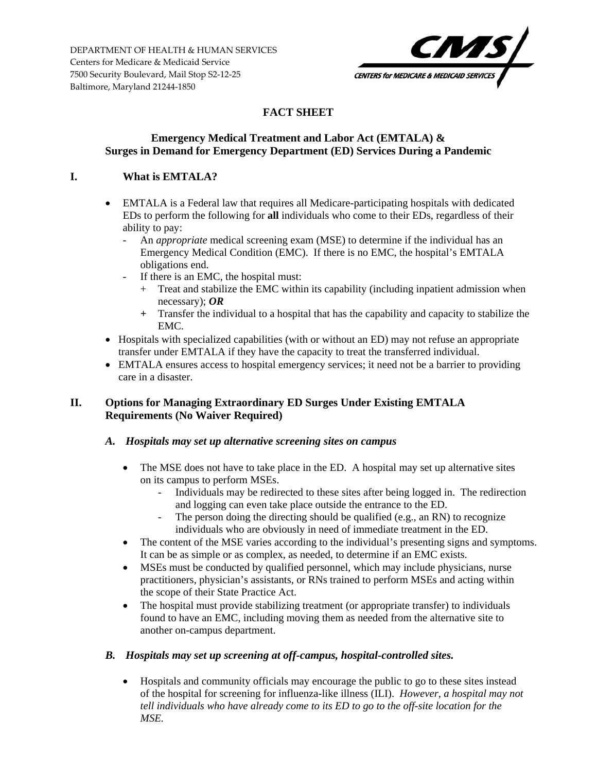DEPARTMENT OF HEALTH & HUMAN SERVICES Centers for Medicare & Medicaid Service 7500 Security Boulevard, Mail Stop S2‐12‐25 Baltimore, Maryland 21244‐1850



# **FACT SHEET**

## **Emergency Medical Treatment and Labor Act (EMTALA) & Surges in Demand for Emergency Department (ED) Services During a Pandemic**

## **I. What is EMTALA?**

- EMTALA is a Federal law that requires all Medicare-participating hospitals with dedicated EDs to perform the following for **all** individuals who come to their EDs, regardless of their ability to pay:
	- An *appropriate* medical screening exam (MSE) to determine if the individual has an Emergency Medical Condition (EMC). If there is no EMC, the hospital's EMTALA obligations end.
	- If there is an EMC, the hospital must:
		- + Treat and stabilize the EMC within its capability (including inpatient admission when necessary); *OR*
		- *+* Transfer the individual to a hospital that has the capability and capacity to stabilize the EMC.
- Hospitals with specialized capabilities (with or without an ED) may not refuse an appropriate transfer under EMTALA if they have the capacity to treat the transferred individual.
- EMTALA ensures access to hospital emergency services; it need not be a barrier to providing care in a disaster.

# **II. Options for Managing Extraordinary ED Surges Under Existing EMTALA Requirements (No Waiver Required)**

## *A. Hospitals may set up alternative screening sites on campus*

- The MSE does not have to take place in the ED. A hospital may set up alternative sites on its campus to perform MSEs.
	- Individuals may be redirected to these sites after being logged in. The redirection and logging can even take place outside the entrance to the ED.
	- The person doing the directing should be qualified (e.g., an RN) to recognize individuals who are obviously in need of immediate treatment in the ED.
- The content of the MSE varies according to the individual's presenting signs and symptoms. It can be as simple or as complex, as needed, to determine if an EMC exists.
- MSEs must be conducted by qualified personnel, which may include physicians, nurse practitioners, physician's assistants, or RNs trained to perform MSEs and acting within the scope of their State Practice Act.
- The hospital must provide stabilizing treatment (or appropriate transfer) to individuals found to have an EMC, including moving them as needed from the alternative site to another on-campus department.

# *B. Hospitals may set up screening at off-campus, hospital-controlled sites.*

• Hospitals and community officials may encourage the public to go to these sites instead of the hospital for screening for influenza-like illness (ILI). *However, a hospital may not tell individuals who have already come to its ED to go to the off-site location for the MSE.*